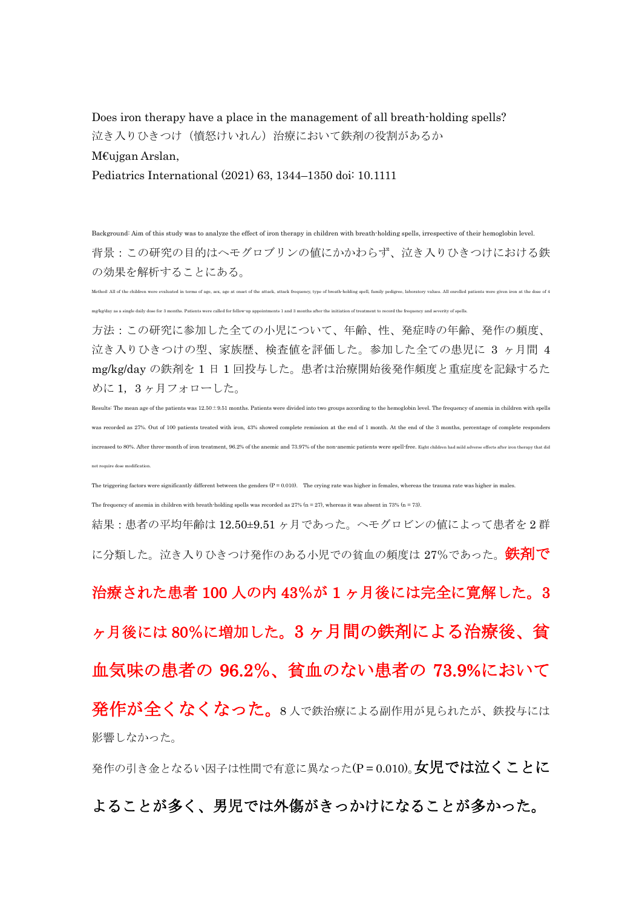Does iron therapy have a place in the management of all breath-holding spells? 泣き入りひきつけ(憤怒けいれん)治療において鉄剤の役割があるか

M€ujgan Arslan,

Pediatrics International (2021) 63, 1344–1350 doi: 10.1111

Background: Aim of this study was to analyze the effect of iron therapy in children with breath-holding spells, irrespective of their hemoglobin level. 背景:この研究の目的はヘモグロブリンの値にかかわらず、泣き入りひきつけにおける鉄 の効果を解析することにある。

Method: All of the children were evaluated in terms of age, sex, age at onset of the attack, attack frequency, type of breath holding spell, family pedigree, laboratory values. All enrolled patients were given iron at the

mg/kg/day as a single daily dose for 3 months. Patients were called for follow-up appointments 1 and 3 months after the initiation of treatment to record the frequency and severity of spells.

方法:この研究に参加した全ての小児について、年齢、性、発症時の年齢、発作の頻度、 泣き入りひきつけの型、家族歴、検査値を評価した。参加した全ての患児に 3 ヶ月間 4 mg/kg/day の鉄剤を 1 日 1 回投与した。患者は治療開始後発作頻度と重症度を記録するた めに 1,3 ヶ月フォローした。

Results: The mean age of the patients was 12.50±9.51 months. Patients were divided into two groups according to the hemoglobin level. The frequency of anemia in children with spells was recorded as 27%. Out of 100 patients treated with iron, 43% showed complete remission at the end of 1 month. At the end of the 3 months, percentage of complete responders increased to 80%. After three-month of iron treatment, 96.2% of the anemic and 73.97% of the non-anemic patients were spell-free. Eight children had mild adverse effects after iron therapy that did nt require dose modification.

The triggering factors were significantly different between the genders  $(P = 0.010)$ . The crying rate was higher in females, whereas the trauma rate was higher in males.

The frequency of anemia in children with breath-holding spells was recorded as  $27\%$  (n = 27), whereas it was absent in 73% (n = 73).

結果:患者の平均年齢は 12.50±9.51 ヶ月であった。ヘモグロビンの値によって患者を 2 群 に分類した。泣き入りひきつけ発作のある小児での貧血の頻度は 27%であった。 鉄剤で

治療された患者 100 人の内 43%が 1 ヶ月後には完全に寛解した。3 ヶ月後には 80%に増加した。3 ヶ月間の鉄剤による治療後、貧 血気味の患者の 96.2%、貧血のない患者の 73.9%において 発作が全くなくなった。8人で鉄治療による副作用が見られたが、鉄投与には 影響しなかった。

発作の引き金となるい因子は性間で有意に異なった(P = 0.010)。 女児では泣くことに よることが多く、男児では外傷がきっかけになることが多かった。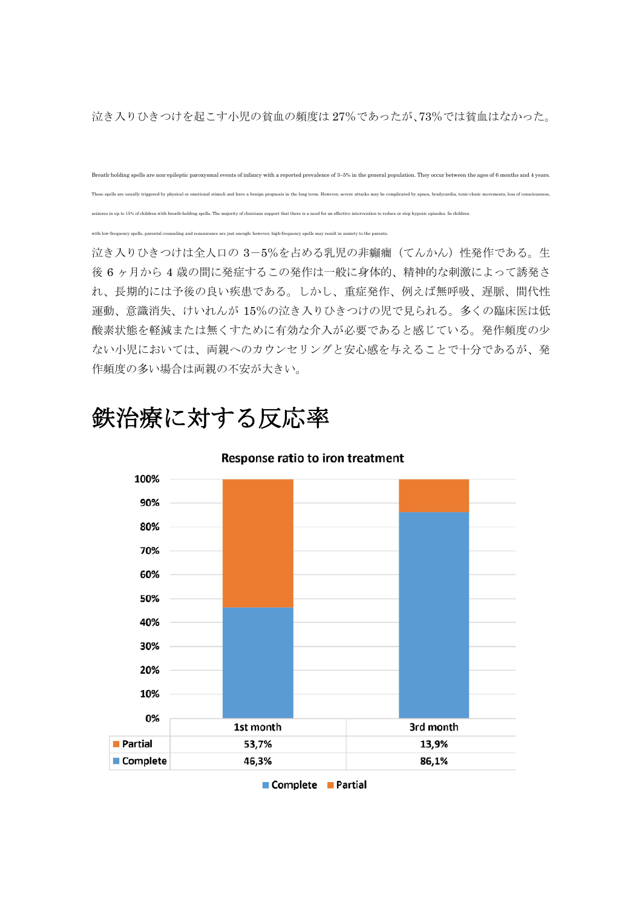泣き入りひきつけを起こす小児の貧血の頻度は 27%であったが、73%では貧血はなかった。

Breath-holding spells are non-epileptic paroxysmal events of infancy with a reported prevalence of 3–5% in the general population. They occur between the ages of 6 months and 4 years. These spells are usually triggered by physical or emotional stimuli and have a benign prognosis in the long term. However, severe attacks may be complicated by apnea, bradycardia, tonic clonic movements, loss of consciousn seizures in up to 15% of children with breath-holding spells. The majority of clinicians support that there is a need for an effective intervention to reduce or stop hypoxic episodes. In children

wer, high-frequency spells may result in anxiety to the parents.

泣き入りひきつけは全人口の 3-5%を占める乳児の非癲癇(てんかん)性発作である。生 後 6 ヶ月から 4 歳の間に発症するこの発作は一般に身体的、精神的な刺激によって誘発さ れ、長期的には予後の良い疾患である。しかし、重症発作、例えば無呼吸、遅脈、間代性 運動、意識消失、けいれんが 15%の泣き入りひきつけの児で見られる。多くの臨床医は低 酸素状態を軽減または無くすために有効な介入が必要であると感じている。発作頻度の少 ない小児においては、両親へのカウンセリングと安心感を与えることで十分であるが、発 作頻度の多い場合は両親の不安が大きい。

## 鉄治療に対する反応率



Response ratio to iron treatment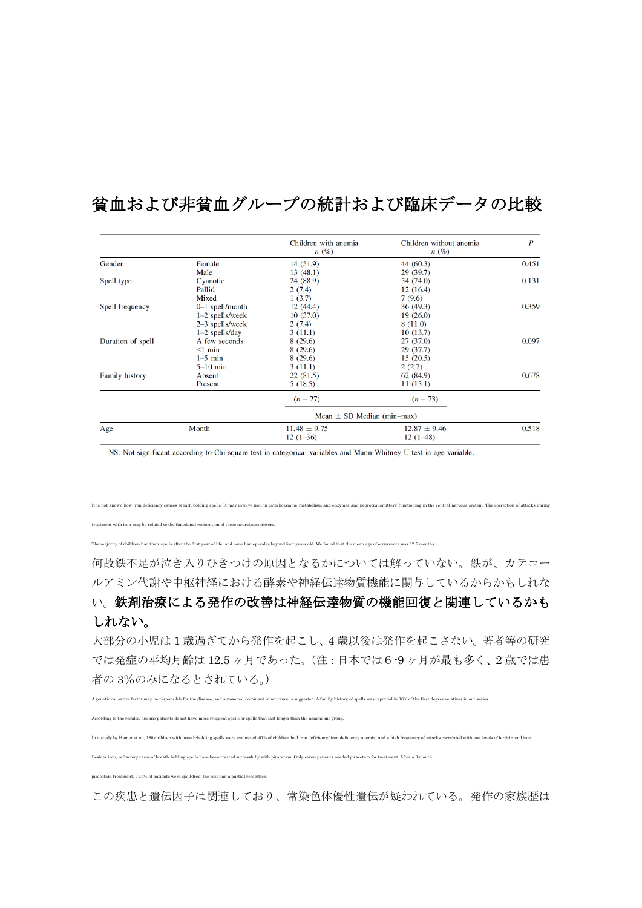|                       |                   | Children with anemia<br>n(%)   | Children without anemia<br>$n(\%)$ | $\boldsymbol{P}$ |
|-----------------------|-------------------|--------------------------------|------------------------------------|------------------|
| Gender                | Female            | 14(51.9)                       | 44 (60.3)                          | 0.451            |
|                       | Male              | 13(48.1)                       | 29(39.7)                           |                  |
| Spell type            | Cyanotic          | 24 (88.9)                      | 54 (74.0)                          | 0.131            |
|                       | Pallid            | 2(7.4)                         | 12(16.4)                           |                  |
|                       | Mixed             | 1(3.7)                         | 7(9.6)                             |                  |
| Spell frequency       | $0-1$ spell/month | 12(44.4)                       | 36(49.3)                           | 0.359            |
|                       | $1-2$ spells/week | 10(37.0)                       | 19(26.0)                           |                  |
|                       | $2-3$ spells/week | 2(7.4)                         | 8(11.0)                            |                  |
|                       | $1-2$ spells/day  | 3(11.1)                        | 10(13.7)                           |                  |
| Duration of spell     | A few seconds     | 8(29.6)                        | 27(37.0)                           | 0.097            |
|                       | $\leq$ 1 min      | 8(29.6)                        | 29(37.7)                           |                  |
|                       | $1-5$ min         | 8(29.6)                        | 15(20.5)                           |                  |
|                       | $5-10$ min        | 3(11.1)                        | 2(2.7)                             |                  |
| <b>Family history</b> | Absent            | 22(81.5)                       | 62 (84.9)                          | 0.678            |
|                       | Present           | 5(18.5)                        | 11(15.1)                           |                  |
|                       |                   | $(n = 27)$                     | $(n = 73)$                         |                  |
|                       |                   | Mean $\pm$ SD Median (min-max) |                                    |                  |
| Age                   | Month             | $11.48 \pm 9.75$               | $12.87 \pm 9.46$                   | 0.518            |
|                       |                   | $12(1-36)$                     | $12(1-48)$                         |                  |

## 貧血および非貧血グループの統計および臨床データの比較

NS: Not significant according to Chi-square test in categorical variables and Mann-Whitney U test in age variable.

It is not known how iron deficiency causes breath-holding spells. It may involve iron in catecholamine metabolism and enzymes and neurotransmitters' functioning in the central nervous system. The correction of attacks of treatment with iron may be related to the functional restoration of these neurotransmitters.

The majority of children had their spells after the first year of life, and none had episodes beyond four years old. We found that the mean age of occurrence was 12.5 months.

何故鉄不足が泣き入りひきつけの原因となるかについては解っていない。鉄が、カテコー ルアミン代謝や中枢神経における酵素や神経伝達物質機能に関与しているからかもしれな

## い。鉄剤治療による発作の改善は神経伝達物質の機能回復と関連しているかも しれない。

大部分の小児は 1 歳過ぎてから発作を起こし、4 歳以後は発作を起こさない。著者等の研究 では発症の平均月齢は 12.5 ヶ月であった。(注:日本では6-9 ヶ月が最も多く、2 歳では患 者の 3%のみになるとされている。)

A genetic causative factor may be responsible for the disease, and autosomal-dominant inheritance is suggested. A family history of spells was reported in 16% of the first-degree relatives in our series.

According to the results, anemic patients do not have more frequent spells or spells that last longer than the nonanemic group.

In a study by Hamet et al., 180 children with breath holding spells were evaluated, 61% of children had iron deficiency iron deficiency anemia, and a high frequency of attacks correlated with low levels of ferritin and iro

Besides iron, refractory cases of breath-holding spells have been treated successfully with piracetam. Only seven patients needed piracetam for treatment. After a 3-month

piracetam treatment, 71.4% of patients were spell-free; the rest had a partial resolution.

この疾患と遺伝因子は関連しており、常染色体優性遺伝が疑われている。発作の家族歴は